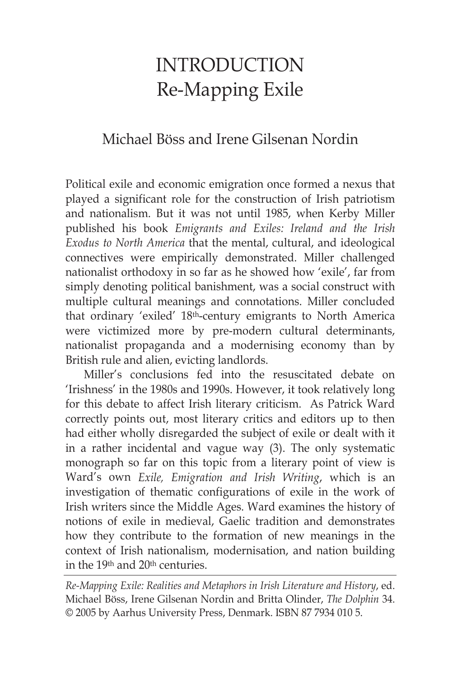## INTRODUCTION Re-Mapping Exile

## Michael Böss and Irene Gilsenan Nordin

Political exile and economic emigration once formed a nexus that played a significant role for the construction of Irish patriotism and nationalism. But it was not until 1985, when Kerby Miller published his book *Emigrants and Exiles: Ireland and the Irish Exodus to North America* that the mental, cultural, and ideological connectives were empirically demonstrated. Miller challenged nationalist orthodoxy in so far as he showed how 'exile', far from simply denoting political banishment, was a social construct with multiple cultural meanings and connotations. Miller concluded that ordinary 'exiled' 18th-century emigrants to North America were victimized more by pre-modern cultural determinants, nationalist propaganda and a modernising economy than by British rule and alien, evicting landlords.

 Miller's conclusions fed into the resuscitated debate on 'Irishness' in the 1980s and 1990s. However, it took relatively long for this debate to affect Irish literary criticism. As Patrick Ward correctly points out, most literary critics and editors up to then had either wholly disregarded the subject of exile or dealt with it in a rather incidental and vague way (3). The only systematic monograph so far on this topic from a literary point of view is Ward's own *Exile, Emigration and Irish Writing*, which is an investigation of thematic configurations of exile in the work of Irish writers since the Middle Ages. Ward examines the history of notions of exile in medieval, Gaelic tradition and demonstrates how they contribute to the formation of new meanings in the context of Irish nationalism, modernisation, and nation building in the 19th and 20th centuries.

*Re-Mapping Exile: Realities and Metaphors in Irish Literature and History*, ed. Michael Böss, Irene Gilsenan Nordin and Britta Olinder, *The Dolphin* 34. © 2005 by Aarhus University Press, Denmark. ISBN 87 7934 010 5.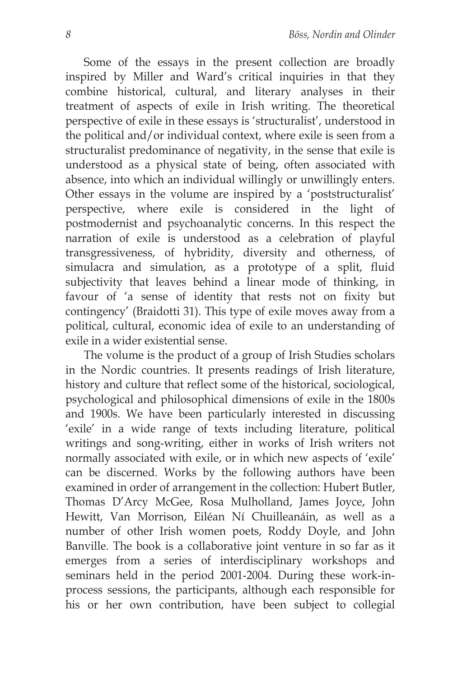Some of the essays in the present collection are broadly inspired by Miller and Ward's critical inquiries in that they combine historical, cultural, and literary analyses in their treatment of aspects of exile in Irish writing. The theoretical perspective of exile in these essays is 'structuralist', understood in the political and/or individual context, where exile is seen from a structuralist predominance of negativity, in the sense that exile is understood as a physical state of being, often associated with absence, into which an individual willingly or unwillingly enters. Other essays in the volume are inspired by a 'poststructuralist' perspective, where exile is considered in the light of postmodernist and psychoanalytic concerns. In this respect the narration of exile is understood as a celebration of playful transgressiveness, of hybridity, diversity and otherness, of simulacra and simulation, as a prototype of a split, fluid subjectivity that leaves behind a linear mode of thinking, in favour of 'a sense of identity that rests not on fixity but contingency' (Braidotti 31). This type of exile moves away from a political, cultural, economic idea of exile to an understanding of exile in a wider existential sense.

 The volume is the product of a group of Irish Studies scholars in the Nordic countries. It presents readings of Irish literature, history and culture that reflect some of the historical, sociological, psychological and philosophical dimensions of exile in the 1800s and 1900s. We have been particularly interested in discussing 'exile' in a wide range of texts including literature, political writings and song-writing, either in works of Irish writers not normally associated with exile, or in which new aspects of 'exile' can be discerned. Works by the following authors have been examined in order of arrangement in the collection: Hubert Butler, Thomas D'Arcy McGee, Rosa Mulholland, James Joyce, John Hewitt, Van Morrison, Eiléan Ní Chuilleanáin, as well as a number of other Irish women poets, Roddy Doyle, and John Banville. The book is a collaborative joint venture in so far as it emerges from a series of interdisciplinary workshops and seminars held in the period 2001-2004. During these work-inprocess sessions, the participants, although each responsible for his or her own contribution, have been subject to collegial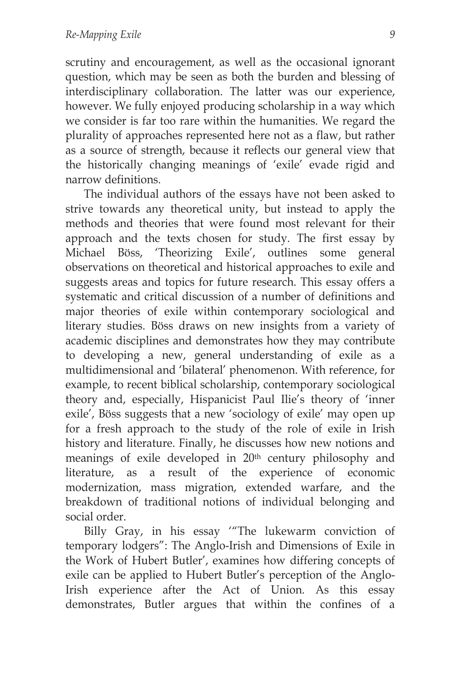scrutiny and encouragement, as well as the occasional ignorant question, which may be seen as both the burden and blessing of interdisciplinary collaboration. The latter was our experience, however. We fully enjoyed producing scholarship in a way which we consider is far too rare within the humanities. We regard the plurality of approaches represented here not as a flaw, but rather as a source of strength, because it reflects our general view that the historically changing meanings of 'exile' evade rigid and narrow definitions.

 The individual authors of the essays have not been asked to strive towards any theoretical unity, but instead to apply the methods and theories that were found most relevant for their approach and the texts chosen for study. The first essay by Michael Böss, 'Theorizing Exile', outlines some general observations on theoretical and historical approaches to exile and suggests areas and topics for future research. This essay offers a systematic and critical discussion of a number of definitions and major theories of exile within contemporary sociological and literary studies. Böss draws on new insights from a variety of academic disciplines and demonstrates how they may contribute to developing a new, general understanding of exile as a multidimensional and 'bilateral' phenomenon. With reference, for example, to recent biblical scholarship, contemporary sociological theory and, especially, Hispanicist Paul Ilie's theory of 'inner exile', Böss suggests that a new 'sociology of exile' may open up for a fresh approach to the study of the role of exile in Irish history and literature. Finally, he discusses how new notions and meanings of exile developed in 20th century philosophy and literature, as a result of the experience of economic modernization, mass migration, extended warfare, and the breakdown of traditional notions of individual belonging and social order.

 Billy Gray, in his essay '"The lukewarm conviction of temporary lodgers": The Anglo-Irish and Dimensions of Exile in the Work of Hubert Butler', examines how differing concepts of exile can be applied to Hubert Butler's perception of the Anglo-Irish experience after the Act of Union. As this essay demonstrates, Butler argues that within the confines of a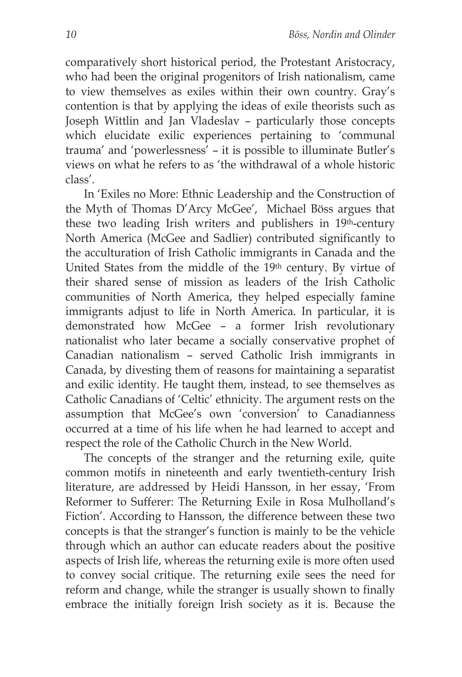comparatively short historical period, the Protestant Aristocracy, who had been the original progenitors of Irish nationalism, came to view themselves as exiles within their own country. Gray's contention is that by applying the ideas of exile theorists such as Joseph Wittlin and Jan Vladeslav – particularly those concepts which elucidate exilic experiences pertaining to 'communal trauma' and 'powerlessness' – it is possible to illuminate Butler's views on what he refers to as 'the withdrawal of a whole historic class'.

 In 'Exiles no More: Ethnic Leadership and the Construction of the Myth of Thomas D'Arcy McGee', Michael Böss argues that these two leading Irish writers and publishers in 19th-century North America (McGee and Sadlier) contributed significantly to the acculturation of Irish Catholic immigrants in Canada and the United States from the middle of the 19th century. By virtue of their shared sense of mission as leaders of the Irish Catholic communities of North America, they helped especially famine immigrants adjust to life in North America. In particular, it is demonstrated how McGee – a former Irish revolutionary nationalist who later became a socially conservative prophet of Canadian nationalism – served Catholic Irish immigrants in Canada, by divesting them of reasons for maintaining a separatist and exilic identity. He taught them, instead, to see themselves as Catholic Canadians of 'Celtic' ethnicity. The argument rests on the assumption that McGee's own 'conversion' to Canadianness occurred at a time of his life when he had learned to accept and respect the role of the Catholic Church in the New World.

 The concepts of the stranger and the returning exile, quite common motifs in nineteenth and early twentieth-century Irish literature, are addressed by Heidi Hansson, in her essay, 'From Reformer to Sufferer: The Returning Exile in Rosa Mulholland's Fiction'. According to Hansson, the difference between these two concepts is that the stranger's function is mainly to be the vehicle through which an author can educate readers about the positive aspects of Irish life, whereas the returning exile is more often used to convey social critique. The returning exile sees the need for reform and change, while the stranger is usually shown to finally embrace the initially foreign Irish society as it is. Because the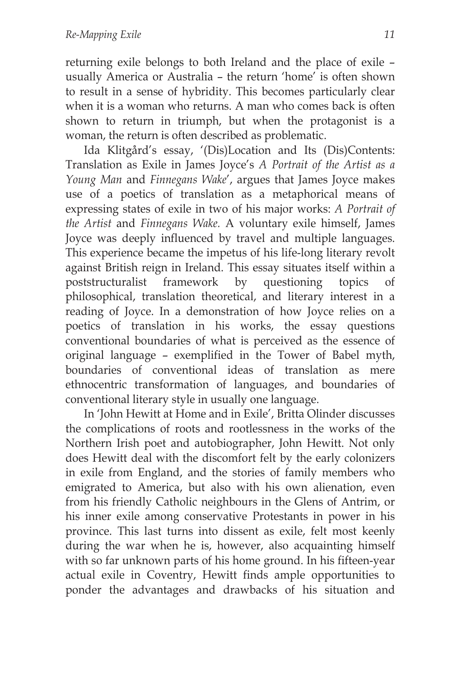returning exile belongs to both Ireland and the place of exile – usually America or Australia – the return 'home' is often shown to result in a sense of hybridity. This becomes particularly clear when it is a woman who returns. A man who comes back is often shown to return in triumph, but when the protagonist is a woman, the return is often described as problematic.

 Ida Klitgård's essay, '(Dis)Location and Its (Dis)Contents: Translation as Exile in James Joyce's *A Portrait of the Artist as a Young Man* and *Finnegans Wake*', argues that James Joyce makes use of a poetics of translation as a metaphorical means of expressing states of exile in two of his major works: *A Portrait of the Artist* and *Finnegans Wake.* A voluntary exile himself, James Joyce was deeply influenced by travel and multiple languages. This experience became the impetus of his life-long literary revolt against British reign in Ireland. This essay situates itself within a poststructuralist framework by questioning topics of philosophical, translation theoretical, and literary interest in a reading of Joyce. In a demonstration of how Joyce relies on a poetics of translation in his works, the essay questions conventional boundaries of what is perceived as the essence of original language – exemplified in the Tower of Babel myth, boundaries of conventional ideas of translation as mere ethnocentric transformation of languages, and boundaries of conventional literary style in usually one language.

 In 'John Hewitt at Home and in Exile', Britta Olinder discusses the complications of roots and rootlessness in the works of the Northern Irish poet and autobiographer, John Hewitt. Not only does Hewitt deal with the discomfort felt by the early colonizers in exile from England, and the stories of family members who emigrated to America, but also with his own alienation, even from his friendly Catholic neighbours in the Glens of Antrim, or his inner exile among conservative Protestants in power in his province. This last turns into dissent as exile, felt most keenly during the war when he is, however, also acquainting himself with so far unknown parts of his home ground. In his fifteen-year actual exile in Coventry, Hewitt finds ample opportunities to ponder the advantages and drawbacks of his situation and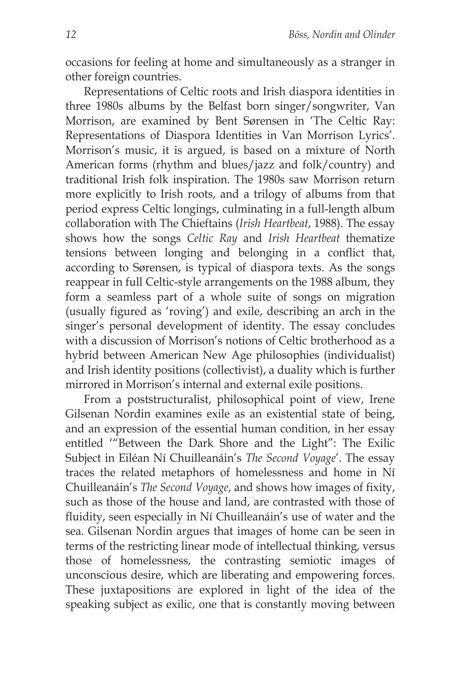occasions for feeling at home and simultaneously as a stranger in other foreign countries.

 Representations of Celtic roots and Irish diaspora identities in three 1980s albums by the Belfast born singer/songwriter, Van Morrison, are examined by Bent Sørensen in 'The Celtic Ray: Representations of Diaspora Identities in Van Morrison Lyrics'. Morrison's music, it is argued, is based on a mixture of North American forms (rhythm and blues/jazz and folk/country) and traditional Irish folk inspiration. The 1980s saw Morrison return more explicitly to Irish roots, and a trilogy of albums from that period express Celtic longings, culminating in a full-length album collaboration with The Chieftains (*Irish Heartbeat*, 1988). The essay shows how the songs *Celtic Ray* and *Irish Heartbeat* thematize tensions between longing and belonging in a conflict that, according to Sørensen, is typical of diaspora texts. As the songs reappear in full Celtic-style arrangements on the 1988 album, they form a seamless part of a whole suite of songs on migration (usually figured as 'roving') and exile, describing an arch in the singer's personal development of identity. The essay concludes with a discussion of Morrison's notions of Celtic brotherhood as a hybrid between American New Age philosophies (individualist) and Irish identity positions (collectivist), a duality which is further mirrored in Morrison's internal and external exile positions.

 From a poststructuralist, philosophical point of view, Irene Gilsenan Nordin examines exile as an existential state of being, and an expression of the essential human condition, in her essay entitled '"Between the Dark Shore and the Light": The Exilic Subject in Eiléan Ní Chuilleanáin's *The Second Voyage*'. The essay traces the related metaphors of homelessness and home in Ní Chuilleanáin's *The Second Voyage*, and shows how images of fixity, such as those of the house and land, are contrasted with those of fluidity, seen especially in Ní Chuilleanáin's use of water and the sea. Gilsenan Nordin argues that images of home can be seen in terms of the restricting linear mode of intellectual thinking, versus those of homelessness, the contrasting semiotic images of unconscious desire, which are liberating and empowering forces. These juxtapositions are explored in light of the idea of the speaking subject as exilic, one that is constantly moving between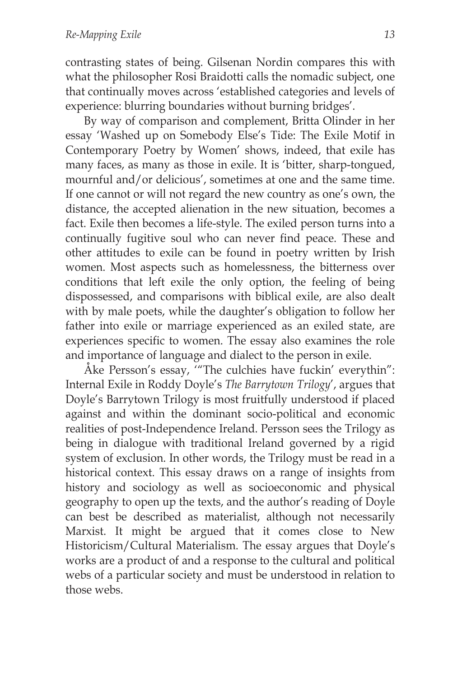contrasting states of being. Gilsenan Nordin compares this with what the philosopher Rosi Braidotti calls the nomadic subject, one that continually moves across 'established categories and levels of experience: blurring boundaries without burning bridges'.

 By way of comparison and complement, Britta Olinder in her essay 'Washed up on Somebody Else's Tide: The Exile Motif in Contemporary Poetry by Women' shows, indeed, that exile has many faces, as many as those in exile. It is 'bitter, sharp-tongued, mournful and/or delicious', sometimes at one and the same time. If one cannot or will not regard the new country as one's own, the distance, the accepted alienation in the new situation, becomes a fact. Exile then becomes a life-style. The exiled person turns into a continually fugitive soul who can never find peace. These and other attitudes to exile can be found in poetry written by Irish women. Most aspects such as homelessness, the bitterness over conditions that left exile the only option, the feeling of being dispossessed, and comparisons with biblical exile, are also dealt with by male poets, while the daughter's obligation to follow her father into exile or marriage experienced as an exiled state, are experiences specific to women. The essay also examines the role and importance of language and dialect to the person in exile.

 Åke Persson's essay, '"The culchies have fuckin' everythin": Internal Exile in Roddy Doyle's *The Barrytown Trilogy*', argues that Doyle's Barrytown Trilogy is most fruitfully understood if placed against and within the dominant socio-political and economic realities of post-Independence Ireland. Persson sees the Trilogy as being in dialogue with traditional Ireland governed by a rigid system of exclusion. In other words, the Trilogy must be read in a historical context. This essay draws on a range of insights from history and sociology as well as socioeconomic and physical geography to open up the texts, and the author's reading of Doyle can best be described as materialist, although not necessarily Marxist. It might be argued that it comes close to New Historicism/Cultural Materialism. The essay argues that Doyle's works are a product of and a response to the cultural and political webs of a particular society and must be understood in relation to those webs.